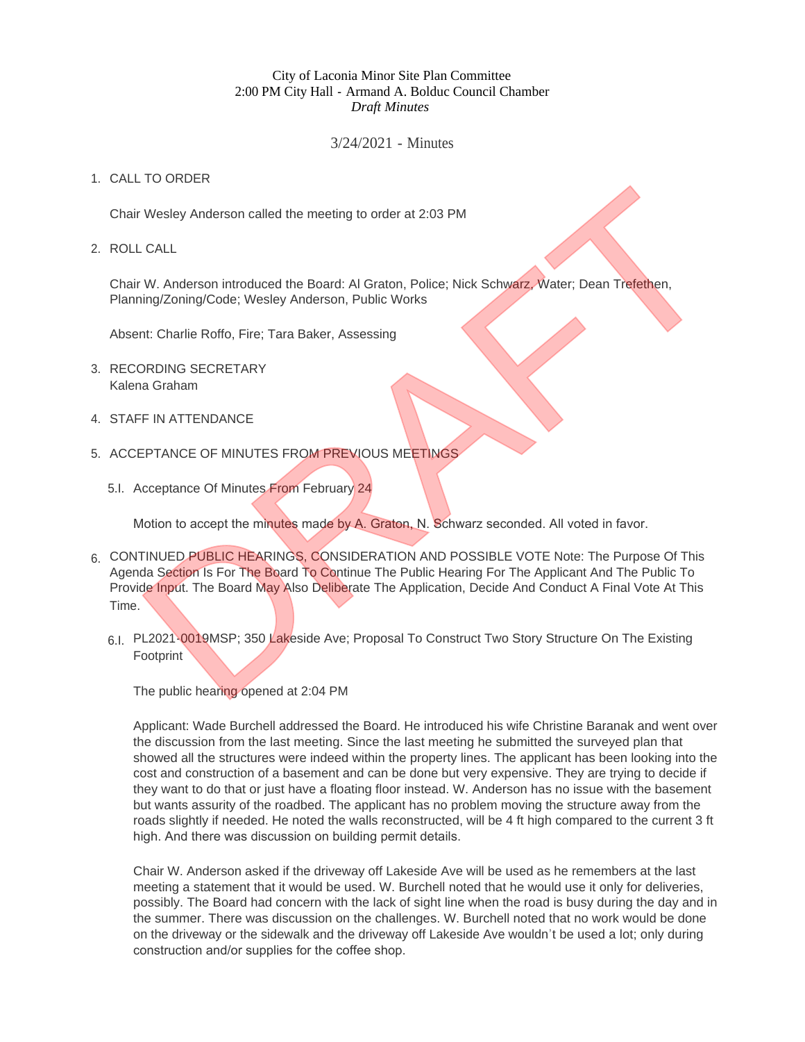## City of Laconia Minor Site Plan Committee 2:00 PM City Hall - Armand A. Bolduc Council Chamber *Draft Minutes*

## 3/24/2021 - Minutes

## 1. CALL TO ORDER

Chair Wesley Anderson called the meeting to order at 2:03 PM

ROLL CALL 2.

Chair W. Anderson introduced the Board: Al Graton, Police; Nick Schwarz, Water; Dean Trefethen, Planning/Zoning/Code; Wesley Anderson, Public Works

Absent: Charlie Roffo, Fire; Tara Baker, Assessing

- 3. RECORDING SECRETARY Kalena Graham
- 4. STAFF IN ATTENDANCE
- 5. ACCEPTANCE OF MINUTES FROM PREVIOUS MEETINGS
	- 5.I. Acceptance Of Minutes From February 24

Motion to accept the minutes made by A. Graton, N. Schwarz seconded. All voted in favor.

- 6. CONTINUED PUBLIC HEARINGS, CONSIDERATION AND POSSIBLE VOTE Note: The Purpose Of This Agenda Section Is For The Board To Continue The Public Hearing For The Applicant And The Public To Provide Input. The Board May Also Deliberate The Application, Decide And Conduct A Final Vote At This Time. The Wesley Anderson called the meeting to order at 2:03 PM<br>
Wesley Anderson introduced the Board: Al Graton, Police; Nick Schwarz, Water; Dean Trefethen,<br>
Intigr2oning/Code; Wesley Anderson, Public Works<br>
Int: Charlie Roff
	- 6.I. PL2021-0019MSP; 350 Lakeside Ave; Proposal To Construct Two Story Structure On The Existing **Footprint**

The public hearing opened at 2:04 PM

Applicant: Wade Burchell addressed the Board. He introduced his wife Christine Baranak and went over the discussion from the last meeting. Since the last meeting he submitted the surveyed plan that showed all the structures were indeed within the property lines. The applicant has been looking into the cost and construction of a basement and can be done but very expensive. They are trying to decide if they want to do that or just have a floating floor instead. W. Anderson has no issue with the basement but wants assurity of the roadbed. The applicant has no problem moving the structure away from the roads slightly if needed. He noted the walls reconstructed, will be 4 ft high compared to the current 3 ft high. And there was discussion on building permit details.

Chair W. Anderson asked if the driveway off Lakeside Ave will be used as he remembers at the last meeting a statement that it would be used. W. Burchell noted that he would use it only for deliveries, possibly. The Board had concern with the lack of sight line when the road is busy during the day and in the summer. There was discussion on the challenges. W. Burchell noted that no work would be done on the driveway or the sidewalk and the driveway off Lakeside Ave wouldn't be used a lot; only during construction and/or supplies for the coffee shop.